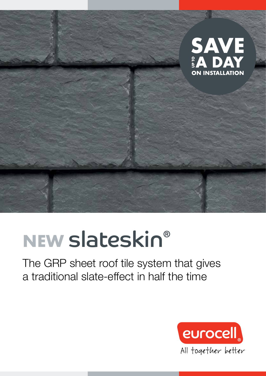

## NEW slateskin®

The GRP sheet roof tile system that gives a traditional slate-effect in half the time

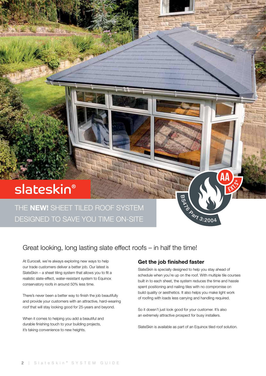### slateskin®

THE **NEW!** SHEET TILED ROOF SYSTEM DESIGNED TO SAVE YOU TIME ON-SITE

### Great looking, long lasting slate effect roofs – in half the time!

At Eurocell, we're always exploring new ways to help our trade customers deliver a better job. Our latest is SlateSkin – a sheet tiling system that allows you to fit a realistic slate-effect, water-resistant system to Equinox conservatory roofs in around 50% less time.

There's never been a better way to finish the job beautifully and provide your customers with an attractive, hard-wearing roof that will stay looking good for 25-years and beyond.

When it comes to helping you add a beautiful and durable finishing touch to your building projects, it's taking convenience to new heights.

### Get the job finished faster

SlateSkin is specially designed to help you stay ahead of schedule when you're up on the roof. With multiple tile courses built in to each sheet, the system reduces the time and hassle spent positioning and nailing tiles with no compromise on build quality or aesthetics. It also helps you make light work of roofing with loads less carrying and handling required.

**BOAT 3:2004** 

**AA**

So it doesn't just look good for your customer. It's also an extremely attractive prospect for busy installers.

SlateSkin is available as part of an Equinox tiled roof solution.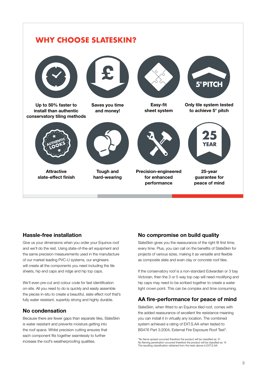

### Hassle-free installation

Give us your dimensions when you order your Equinox roof and we'll do the rest. Using state-of-the-art equipment and the same precision measurements used in the manufacture of our market leading PVC-U systems, our engineers will create all the components you need including the tile sheets, hip end caps and ridge and hip top caps.

We'll even pre-cut and colour code for fast identification on-site. All you need to do is quickly and easily assemble the pieces in-situ to create a beautiful, slate effect roof that's fully water resistant, superbly strong and highly durable.

### No condensation

Because there are fewer gaps than separate tiles, SlateSkin is water resistant and prevents moisture getting into the roof space. Whilst precision cutting ensures that each component fits together seamlessly to further increase the roof's weatherproofing qualities.

### No compromise on build quality

SlateSkin gives you the reassurance of the right fit first time, every time. Plus, you can call on the benefits of SlateSkin for projects of various sizes, making it as versatile and flexible as composite slate and even clay or concrete roof tiles.

If the conservatory roof is a non-standard Edwardian or 3 bay Victorian, then the 3 or 5 way top cap will need modifying and hip caps may need to be scribed together to create a water tight crown point. This can be complex and time consuming.

### AA fire-performance for peace of mind

SlateSkin, when fitted to an Equinox tiled roof, comes with the added reassurance of excellent fire resistance meaning you can install it in virtually any location. The combined system achieved a rating of EXT.S.AA when tested to BS476 Part 3:2004, External Fire Exposure Roof Test\*.

\*No flame spread occurred therefore the product will be classified as 'A'. No flaming penetration occurred therefore the product will be classified as 'A'. The resulting classification obtained from the tests above is EXT.S.AA.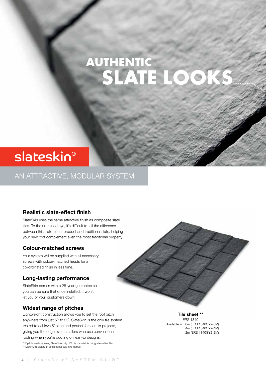### AUTHENTIC<br>SLATE LO OK

### slateskin®

### AN ATTRACTIVE, MODULAR SYSTEM

### Realistic slate-effect finish

SlateSkin uses the same attractive finish as composite slate tiles. To the untrained eye, it's difficult to tell the difference between this slate-effect product and traditional slate, helping your new roof complement even the most traditional property.

### Colour-matched screws

Your system will be supplied with all necessary screws with colour-matched heads for a co-ordinated finish in less time.

### Long-lasting performance

SlateSkin comes with a 25-year guarantee so you can be sure that once installed, it won't let you or your customers down.

#### Widest range of pitches

Lightweight construction allows you to set the roof pitch anywhere from just 5˚\* to 35˚. SlateSkin is the only tile system tested to achieve 5˚ pitch and perfect for lean-to projects, giving you the edge over installers who use conventional roofing when you're quoting on lean-to designs.

\* 5˚ pitch available using SlateSkin only. 10˚ pitch available using alternative tiles. \*\* Maximum SlateSkin single facet size is 6 metres.



Tile sheet \*\* ERS 1340 Available in: 6m (ERS 1340GY2-6M) 4m (ERS 1340GY2-4M) 2m (ERS 1340GY2-2M)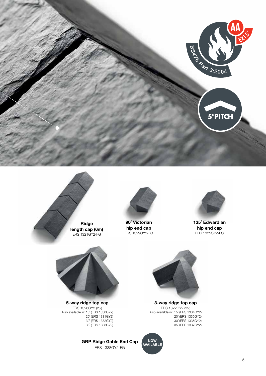





90˚ Victorian hip end cap ERS 1329GY2-FG



135˚ Edwardian hip end cap ERS 1325GY2-FG



5-way ridge top cap ERS 1326GY2 (25˚) Also available in: 15˚ (ERS 1330GY2) 20° (ERS 1331GY2) 30˚ (ERS 1332GY2) 35˚ (ERS 1333GY2)

> GRP Ridge Gable End Cap ERS 1338GY2-FG



3-way ridge top cap ERS 1322GY2 (25) Also available in: 15˚ (ERS 1334GY2) 20˚ (ERS 1335GY2) 30˚ (ERS 1336GY2) 35˚ (ERS 1337GY2)

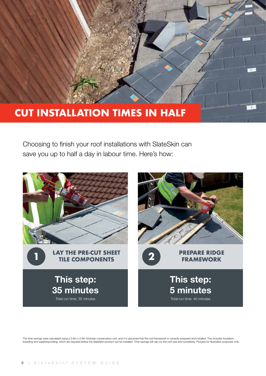### CUT INSTALLATION TIMES IN HALF

Choosing to finish your roof installations with SlateSkin can save you up to half a day in labour time. Here's how:



The time savings were calculated using a 3.8m x 2.9m Victorian conservatory roof, and it is assumed that the roof framework is correctly prepared and installed. This includes insulation,<br>boarding and weatherproofing, which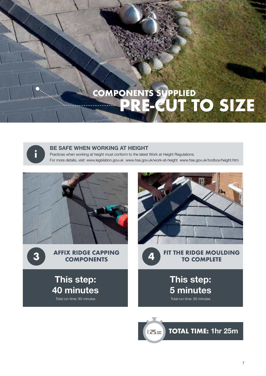# COMPONENTS SUPPLIED<br>
PRE-CUT TO SIZE



### BE SAFE WHEN WORKING AT HEIGHT

Practices when working at height must conform to the latest Work at Height Regulations. For more details, visit: www.legislation.gov.uk www.hse.gov.uk/work-at-height www.hse.gov.uk/toolbox/height.htm





This step:

40 minutes Total run time: 80 minutes





TOTAL TIME: 1hr 25m 1:25:00